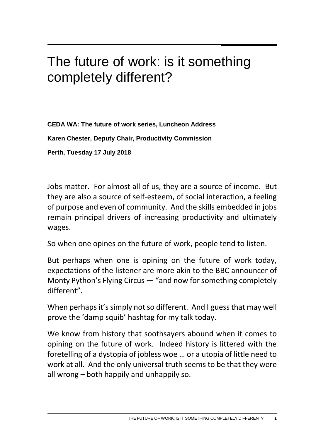## The future of work: is it something completely different?

**CEDA WA: The future of work series, Luncheon Address Karen Chester, Deputy Chair, Productivity Commission Perth, Tuesday 17 July 2018**

Jobs matter. For almost all of us, they are a source of income. But they are also a source of self-esteem, of social interaction, a feeling of purpose and even of community. And the skills embedded in jobs remain principal drivers of increasing productivity and ultimately wages.

So when one opines on the future of work, people tend to listen.

But perhaps when one is opining on the future of work today, expectations of the listener are more akin to the BBC announcer of Monty Python's Flying Circus — "and now for something completely different".

When perhaps it's simply not so different. And I guess that may well prove the 'damp squib' hashtag for my talk today.

We know from history that soothsayers abound when it comes to opining on the future of work. Indeed history is littered with the foretelling of a dystopia of jobless woe … or a utopia of little need to work at all. And the only universal truth seems to be that they were all wrong – both happily and unhappily so.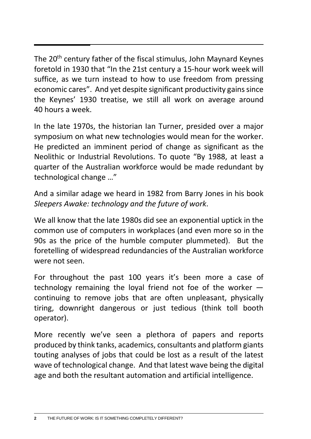The 20<sup>th</sup> century father of the fiscal stimulus, John Maynard Keynes foretold in 1930 that "In the 21st century a 15-hour work week will suffice, as we turn instead to how to use freedom from pressing economic cares". And yet despite [significant productivity gains](http://www.aph.gov.au/About_Parliament/Parliamentary_Departments/Parliamentary_Library/pubs/rp/RP9697/97rp19) since the Keynes' 1930 treatise, we still all work on average around 40 hours a week.

In the late 1970s, the historian Ian Turner, presided over a major symposium on what new technologies would mean for the worker. He predicted an imminent period of change as significant as the Neolithic or Industrial Revolutions. To quote "By 1988, at least a quarter of the Australian workforce would be made redundant by technological change …"

And a similar adage we heard in 1982 from Barry Jones in his book *Sleepers Awake: technology and the future of work*.

We all know that the late 1980s did see an exponential uptick in the common use of computers in workplaces (and even more so in the 90s as the price of the humble computer plummeted). But the foretelling of widespread redundancies of the Australian workforce were not seen.

For throughout the past 100 years it's been more a case of technology remaining the loyal friend not foe of the worker continuing to remove jobs that are often unpleasant, physically tiring, downright dangerous or just tedious (think toll booth operator).

More recently we've seen a plethora of papers and reports produced by think tanks, academics, consultants and platform giants touting analyses of jobs that could be lost as a result of the latest wave of technological change. And that latest wave being the digital age and both the resultant automation and artificial intelligence.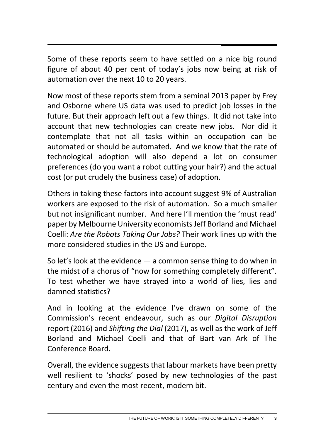Some of these reports seem to have settled on a nice big round figure of about 40 per cent of today's jobs now being at risk of automation over the next 10 to 20 years.

Now most of these reports stem from a seminal 2013 paper by Frey and Osborne where US data was used to predict job losses in the future. But their approach left out a few things. It did not take into account that new technologies can create new jobs. Nor did it contemplate that not all tasks within an occupation can be automated or should be automated. And we know that the rate of technological adoption will also depend a lot on consumer preferences (do you want a robot cutting your hair?) and the actual cost (or put crudely the business case) of adoption.

Others in taking these factors into account suggest 9% of Australian workers are exposed to the risk of automation. So a much smaller but not insignificant number. And here I'll mention the 'must read' paper by Melbourne University economists Jeff Borland and Michael Coelli: *Are the Robots Taking Our Jobs?* Their work lines up with the more considered studies in the US and Europe.

So let's look at the evidence — a common sense thing to do when in the midst of a chorus of "now for something completely different". To test whether we have strayed into a world of lies, lies and damned statistics?

And in looking at the evidence I've drawn on some of the Commission's recent endeavour, such as our *Digital Disruption* report (2016) and *Shifting the Dial* (2017), as well as the work of Jeff Borland and Michael Coelli and that of Bart van Ark of The Conference Board.

Overall, the evidence suggests that labour markets have been pretty well resilient to 'shocks' posed by new technologies of the past century and even the most recent, modern bit.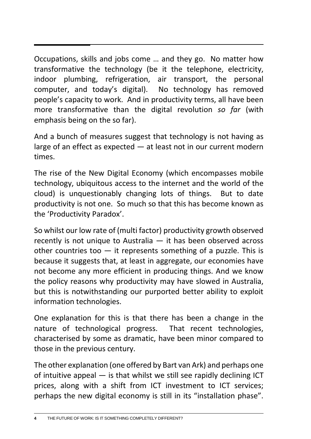Occupations, skills and jobs come … and they go. No matter how transformative the technology (be it the telephone, electricity, indoor plumbing, refrigeration, air transport, the personal computer, and today's digital). No technology has removed people's capacity to work. And in productivity terms, all have been more transformative than the digital revolution *so far* (with emphasis being on the so far).

And a bunch of measures suggest that technology is not having as large of an effect as expected — at least not in our current modern times.

The rise of the New Digital Economy (which encompasses mobile technology, ubiquitous access to the internet and the world of the cloud) is unquestionably changing lots of things. But to date productivity is not one. So much so that this has become known as the 'Productivity Paradox'.

So whilst our low rate of (multi factor) productivity growth observed recently is not unique to Australia — it has been observed across other countries too  $-$  it represents something of a puzzle. This is because it suggests that, at least in aggregate, our economies have not become any more efficient in producing things. And we know the policy reasons why productivity may have slowed in Australia, but this is notwithstanding our purported better ability to exploit information technologies.

One explanation for this is that there has been a change in the nature of technological progress. That recent technologies, characterised by some as dramatic, have been minor compared to those in the previous century.

The other explanation (one offered by Bart van Ark) and perhaps one of intuitive appeal  $-$  is that whilst we still see rapidly declining ICT prices, along with a shift from ICT investment to ICT services; perhaps the new digital economy is still in its "installation phase".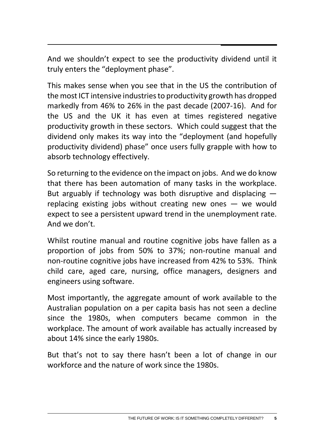And we shouldn't expect to see the productivity dividend until it truly enters the "deployment phase".

This makes sense when you see that in the US the contribution of the most ICT intensive industries to productivity growth has dropped markedly from 46% to 26% in the past decade (2007-16). And for the US and the UK it has even at times registered negative productivity growth in these sectors. Which could suggest that the dividend only makes its way into the "deployment (and hopefully productivity dividend) phase" once users fully grapple with how to absorb technology effectively.

So returning to the evidence on the impact on jobs. And we do know that there has been automation of many tasks in the workplace. But arguably if technology was both disruptive and displacing replacing existing jobs without creating new ones — we would expect to see a persistent upward trend in the unemployment rate. And we don't.

Whilst routine manual and routine cognitive jobs have fallen as a proportion of jobs from 50% to 37%; non-routine manual and non-routine cognitive jobs have increased from 42% to 53%. Think child care, aged care, nursing, office managers, designers and engineers using software.

Most importantly, the aggregate amount of work available to the Australian population on a per capita basis has not seen a decline since the 1980s, when computers became common in the workplace. The amount of work available has actually increased by about 14% since the early 1980s.

But that's not to say there hasn't been a lot of change in our workforce and the nature of work since the 1980s.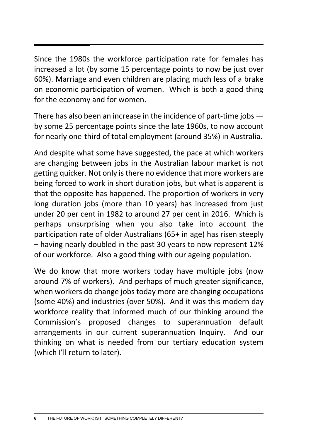Since the 1980s the workforce participation rate for females has increased a lot (by some 15 percentage points to now be just over 60%). Marriage and even children are placing much less of a brake on economic participation of women. Which is both a good thing for the economy and for women.

There has also been an increase in the incidence of part-time jobs by some 25 percentage points since the late 1960s, to now account for nearly one-third of total employment (around 35%) in Australia.

And despite what some have suggested, the pace at which workers are changing between jobs in the Australian labour market is not getting quicker. Not only is there no evidence that more workers are being forced to work in short duration jobs, but what is apparent is that the opposite has happened. The proportion of workers in very long duration jobs (more than 10 years) has increased from just under 20 per cent in 1982 to around 27 per cent in 2016. Which is perhaps unsurprising when you also take into account the participation rate of older Australians (65+ in age) has risen steeply – having nearly doubled in the past 30 years to now represent 12% of our workforce. Also a good thing with our ageing population.

We do know that more workers today have multiple jobs (now around 7% of workers). And perhaps of much greater significance, when workers do change jobs today more are changing occupations (some 40%) and industries (over 50%). And it was this modern day workforce reality that informed much of our thinking around the Commission's proposed changes to superannuation default arrangements in our current superannuation Inquiry. And our thinking on what is needed from our tertiary education system (which I'll return to later).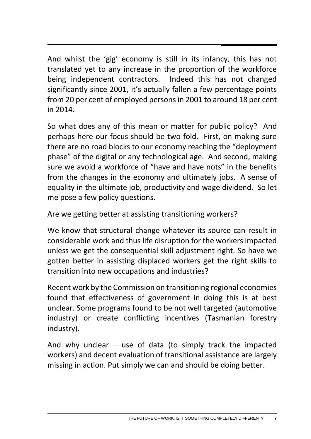And whilst the 'gig' economy is still in its infancy, this has not translated yet to any increase in the proportion of the workforce being independent contractors. Indeed this has not changed significantly since 2001, it's actually fallen a few percentage points from 20 per cent of employed persons in 2001 to around 18 per cent in 2014.

So what does any of this mean or matter for public policy? And perhaps here our focus should be two fold. First, on making sure there are no road blocks to our economy reaching the "deployment phase" of the digital or any technological age. And second, making sure we avoid a workforce of "have and have nots" in the benefits from the changes in the economy and ultimately jobs. A sense of equality in the ultimate job, productivity and wage dividend. So let me pose a few policy questions.

Are we getting better at assisting transitioning workers?

We know that structural change whatever its source can result in considerable work and thus life disruption for the workers impacted unless we get the consequential skill adjustment right. So have we gotten better in assisting displaced workers get the right skills to transition into new occupations and industries?

Recent work by the Commission on transitioning regional economies found that effectiveness of government in doing this is at best unclear. Some programs found to be not well targeted (automotive industry) or create conflicting incentives (Tasmanian forestry industry).

And why unclear  $-$  use of data (to simply track the impacted workers) and decent evaluation of transitional assistance are largely missing in action. Put simply we can and should be doing better.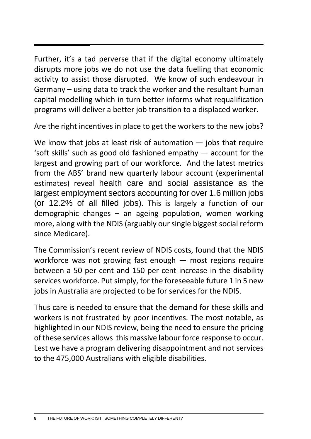Further, it's a tad perverse that if the digital economy ultimately disrupts more jobs we do not use the data fuelling that economic activity to assist those disrupted. We know of such endeavour in Germany – using data to track the worker and the resultant human capital modelling which in turn better informs what requalification programs will deliver a better job transition to a displaced worker.

Are the right incentives in place to get the workers to the new jobs?

We know that jobs at least risk of automation — jobs that require 'soft skills' such as good old fashioned empathy — account for the largest and growing part of our workforce. And the latest metrics from the ABS' brand new quarterly labour account (experimental estimates) reveal health care and social assistance as the largest employment sectors accounting for over 1.6 million jobs (or 12.2% of all filled jobs). This is largely a function of our demographic changes – an ageing population, women working more, along with the NDIS (arguably our single biggest social reform since Medicare).

The Commission's recent review of NDIS costs, found that the NDIS workforce was not growing fast enough — most regions require between a 50 per cent and 150 per cent increase in the disability services workforce. Put simply, for the foreseeable future 1 in 5 new jobs in Australia are projected to be for services for the NDIS.

Thus care is needed to ensure that the demand for these skills and workers is not frustrated by poor incentives. The most notable, as highlighted in our NDIS review, being the need to ensure the pricing of these services allows this massive labour force response to occur. Lest we have a program delivering disappointment and not services to the 475,000 Australians with eligible disabilities.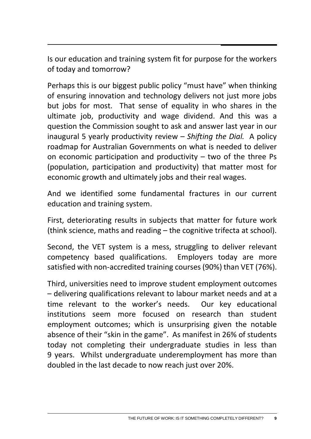Is our education and training system fit for purpose for the workers of today and tomorrow?

Perhaps this is our biggest public policy "must have" when thinking of ensuring innovation and technology delivers not just more jobs but jobs for most. That sense of equality in who shares in the ultimate job, productivity and wage dividend. And this was a question the Commission sought to ask and answer last year in our inaugural 5 yearly productivity review – *Shifting the Dial.* A policy roadmap for Australian Governments on what is needed to deliver on economic participation and productivity  $-$  two of the three Ps (population, participation and productivity) that matter most for economic growth and ultimately jobs and their real wages.

And we identified some fundamental fractures in our current education and training system.

First, deteriorating results in subjects that matter for future work (think science, maths and reading – the cognitive trifecta at school).

Second, the VET system is a mess, struggling to deliver relevant competency based qualifications. Employers today are more satisfied with non-accredited training courses (90%) than VET (76%).

Third, universities need to improve student employment outcomes – delivering qualifications relevant to labour market needs and at a time relevant to the worker's needs. Our key educational institutions seem more focused on research than student employment outcomes; which is unsurprising given the notable absence of their "skin in the game". As manifest in 26% of students today not completing their undergraduate studies in less than 9 years. Whilst undergraduate underemployment has more than doubled in the last decade to now reach just over 20%.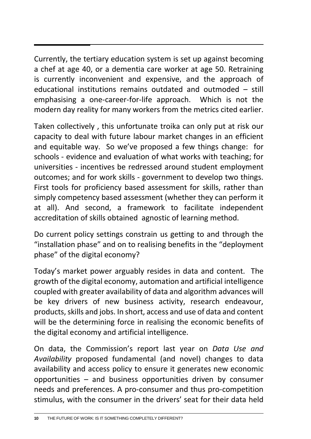Currently, the tertiary education system is set up against becoming a chef at age 40, or a dementia care worker at age 50. Retraining is currently inconvenient and expensive, and the approach of educational institutions remains outdated and outmoded – still emphasising a one-career-for-life approach. Which is not the modern day reality for many workers from the metrics cited earlier.

Taken collectively , this unfortunate troika can only put at risk our capacity to deal with future labour market changes in an efficient and equitable way. So we've proposed a few things change: for schools - evidence and evaluation of what works with teaching; for universities - incentives be redressed around student employment outcomes; and for work skills - government to develop two things. First tools for proficiency based assessment for skills, rather than simply competency based assessment (whether they can perform it at all). And second, a framework to facilitate independent accreditation of skills obtained agnostic of learning method.

Do current policy settings constrain us getting to and through the "installation phase" and on to realising benefits in the "deployment phase" of the digital economy?

Today's market power arguably resides in data and content. The growth of the digital economy, automation and artificial intelligence coupled with greater availability of data and algorithm advances will be key drivers of new business activity, research endeavour, products, skills and jobs. In short, access and use of data and content will be the determining force in realising the economic benefits of the digital economy and artificial intelligence.

On data, the Commission's report last year on *Data Use and Availability* proposed fundamental (and novel) changes to data availability and access policy to ensure it generates new economic opportunities – and business opportunities driven by consumer needs and preferences. A pro-consumer and thus pro-competition stimulus, with the consumer in the drivers' seat for their data held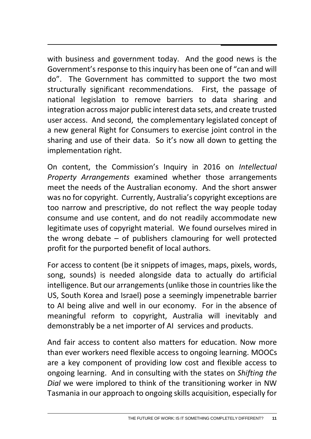with business and government today. And the good news is the Government's response to this inquiry has been one of "can and will do". The Government has committed to support the two most structurally significant recommendations. First, the passage of national legislation to remove barriers to data sharing and integration across major public interest data sets, and create trusted user access. And second, the complementary legislated concept of a new general Right for Consumers to exercise joint control in the sharing and use of their data. So it's now all down to getting the implementation right.

On content, the Commission's Inquiry in 2016 on *Intellectual Property Arrangements* examined whether those arrangements meet the needs of the Australian economy. And the short answer was no for copyright. Currently, Australia's copyright exceptions are too narrow and prescriptive, do not reflect the way people today consume and use content, and do not readily accommodate new legitimate uses of copyright material. We found ourselves mired in the wrong debate – of publishers clamouring for well protected profit for the purported benefit of local authors.

For access to content (be it snippets of images, maps, pixels, words, song, sounds) is needed alongside data to actually do artificial intelligence. But our arrangements (unlike those in countries like the US, South Korea and Israel) pose a seemingly impenetrable barrier to AI being alive and well in our economy. For in the absence of meaningful reform to copyright, Australia will inevitably and demonstrably be a net importer of AI services and products.

And fair access to content also matters for education. Now more than ever workers need flexible access to ongoing learning. MOOCs are a key component of providing low cost and flexible access to ongoing learning. And in consulting with the states on *Shifting the Dial* we were implored to think of the transitioning worker in NW Tasmania in our approach to ongoing skills acquisition, especially for